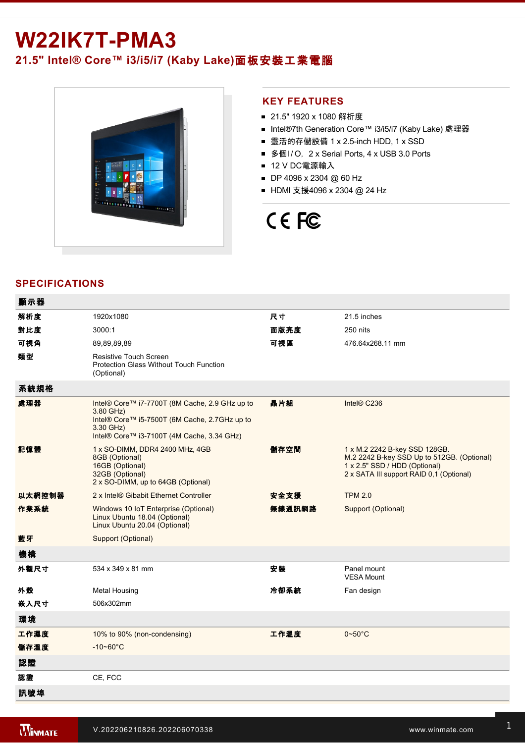## **W22IK7T-PMA3**

**21.5" Intel® Core™ i3/i5/i7 (Kaby Lake)**面板安裝工業電腦



## **KEY FEATURES**

- 21.5" 1920 x 1080 解析度
- Intel®7th Generation Core™ i3/i5/i7 (Kaby Lake) 處理器
- 靈活的存儲設備 1 x 2.5-inch HDD, 1 x SSD
- 多個I/O, 2 x Serial Ports, 4 x USB 3.0 Ports
- 12 V DC電源輸入
- DP 4096 x 2304 @ 60 Hz
- HDMI 支援4096 x 2304 @ 24 Hz

# CE FC

## **SPECIFICATIONS**

| 顯示器    |                                                                                                                                                                         |        |                                                                                                                                                          |
|--------|-------------------------------------------------------------------------------------------------------------------------------------------------------------------------|--------|----------------------------------------------------------------------------------------------------------------------------------------------------------|
| 解析度    | 1920x1080                                                                                                                                                               | 尺寸     | 21.5 inches                                                                                                                                              |
| 對比度    | 3000:1                                                                                                                                                                  | 面版亮度   | 250 nits                                                                                                                                                 |
| 可視角    | 89.89.89.89                                                                                                                                                             | 可視區    | 476.64x268.11 mm                                                                                                                                         |
| 類型     | <b>Resistive Touch Screen</b><br><b>Protection Glass Without Touch Function</b><br>(Optional)                                                                           |        |                                                                                                                                                          |
| 系統規格   |                                                                                                                                                                         |        |                                                                                                                                                          |
| 處理器    | Intel® Core™ i7-7700T (8M Cache, 2.9 GHz up to<br>3.80 GHz)<br>Intel® Core™ i5-7500T (6M Cache, 2.7GHz up to<br>3.30 GHz)<br>Intel® Core™ i3-7100T (4M Cache, 3.34 GHz) | 晶片組    | Intel® C236                                                                                                                                              |
| 記憶體    | 1 x SO-DIMM, DDR4 2400 MHz, 4GB<br>8GB (Optional)<br>16GB (Optional)<br>32GB (Optional)<br>2 x SO-DIMM, up to 64GB (Optional)                                           | 儲存空間   | 1 x M.2 2242 B-key SSD 128GB.<br>M.2 2242 B-key SSD Up to 512GB. (Optional)<br>1 x 2.5" SSD / HDD (Optional)<br>2 x SATA III support RAID 0,1 (Optional) |
| 以太網控制器 | 2 x Intel® Gibabit Ethernet Controller                                                                                                                                  | 安全支援   | <b>TPM 2.0</b>                                                                                                                                           |
| 作業系統   | Windows 10 IoT Enterprise (Optional)<br>Linux Ubuntu 18.04 (Optional)<br>Linux Ubuntu 20.04 (Optional)                                                                  | 無線通訊網路 | Support (Optional)                                                                                                                                       |
| 藍牙     | Support (Optional)                                                                                                                                                      |        |                                                                                                                                                          |
| 機構     |                                                                                                                                                                         |        |                                                                                                                                                          |
| 外觀尺寸   | 534 x 349 x 81 mm                                                                                                                                                       | 安装     | Panel mount<br><b>VESA Mount</b>                                                                                                                         |
| 外殼     | <b>Metal Housing</b>                                                                                                                                                    | 冷卻系統   | Fan design                                                                                                                                               |
| 嵌入尺寸   | 506x302mm                                                                                                                                                               |        |                                                                                                                                                          |
| 環境     |                                                                                                                                                                         |        |                                                                                                                                                          |
| 工作濕度   | 10% to 90% (non-condensing)                                                                                                                                             | 工作溫度   | $0\negthinspace\negthinspace\negthinspace 50^{\circ}\mathrm{C}$                                                                                          |
| 儲存溫度   | $-10 - 60^{\circ}$ C                                                                                                                                                    |        |                                                                                                                                                          |
| 認證     |                                                                                                                                                                         |        |                                                                                                                                                          |
| 認證     | CE, FCC                                                                                                                                                                 |        |                                                                                                                                                          |
| 訊號埠    |                                                                                                                                                                         |        |                                                                                                                                                          |

and the state of the state of the state of the state of the state of the state of the state of the state of th

 $\mathcal{L}^2$  and  $\mathcal{L}^2$  is  $\mathcal{L}^2$  for  $\mathcal{L}^2$  for  $\mathcal{L}^2$  for  $\mathcal{L}^2$  for  $\mathcal{L}^2$  for  $\mathcal{L}^2$  for  $\mathcal{L}^2$  for  $\mathcal{L}^2$